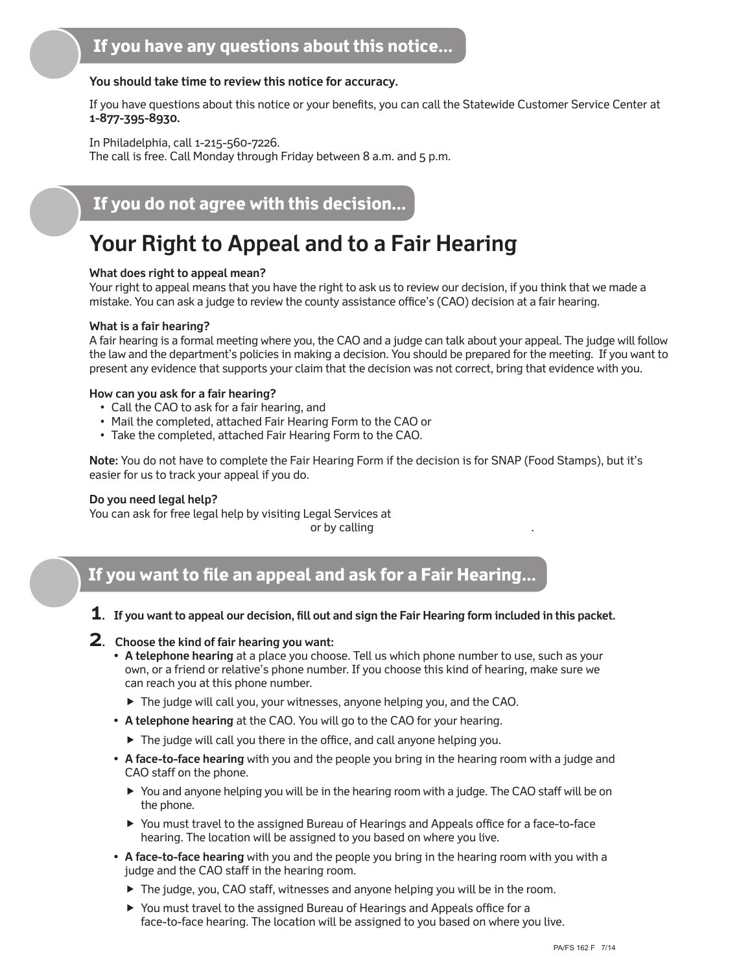#### **You should take time to review this notice for accuracy.**

If you have questions about this notice or your benefits, you can call the Statewide Customer Service Center at **1-877-395-8930.**

In Philadelphia, call 1-215-560-7226. The call is free. Call Monday through Friday between 8 a.m. and 5 p.m.

### **If you do not agree with this decision...**

# **Your Right to Appeal and to a Fair Hearing**

#### **What does right to appeal mean?**

Your right to appeal means that you have the right to ask us to review our decision, if you think that we made a mistake. You can ask a judge to review the county assistance office's (CAO) decision at a fair hearing.

#### **What is a fair hearing?**

A fair hearing is a formal meeting where you, the CAO and a judge can talk about your appeal. The judge will follow the law and the department's policies in making a decision. You should be prepared for the meeting. If you want to present any evidence that supports your claim that the decision was not correct, bring that evidence with you.

#### **How can you ask for a fair hearing?**

- Call the CAO to ask for a fair hearing, and
- Mail the completed, attached Fair Hearing Form to the CAO or
- Take the completed, attached Fair Hearing Form to the CAO.

**Note:** You do not have to complete the Fair Hearing Form if the decision is for SNAP (Food Stamps), but it's easier for us to track your appeal if you do.

#### **Do you need legal help?**

You can ask for free legal help by visiting Legal Services at or by calling .

### **If you want to file an appeal and ask for a Fair Hearing...**

- **1. If you want to appeal our decision, fill out and sign the Fair Hearing form included in this packet.**
- **2. Choose the kind of fair hearing you want:**
	- **• A telephone hearing** at a place you choose. Tell us which phone number to use, such as your own, or a friend or relative's phone number. If you choose this kind of hearing, make sure we can reach you at this phone number.
		- The judge will call you, your witnesses, anyone helping you, and the CAO.
	- **• A telephone hearing** at the CAO. You will go to the CAO for your hearing.
		- The judge will call you there in the office, and call anyone helping you.
	- **• A face-to-face hearing** with you and the people you bring in the hearing room with a judge and CAO staff on the phone.
		- You and anyone helping you will be in the hearing room with a judge. The CAO staff will be on the phone.
		- You must travel to the assigned Bureau of Hearings and Appeals office for a face-to-face hearing. The location will be assigned to you based on where you live.
	- **• A face-to-face hearing** with you and the people you bring in the hearing room with you with a judge and the CAO staff in the hearing room.
		- The judge, you, CAO staff, witnesses and anyone helping you will be in the room.
		- You must travel to the assigned Bureau of Hearings and Appeals office for a face-to-face hearing. The location will be assigned to you based on where you live.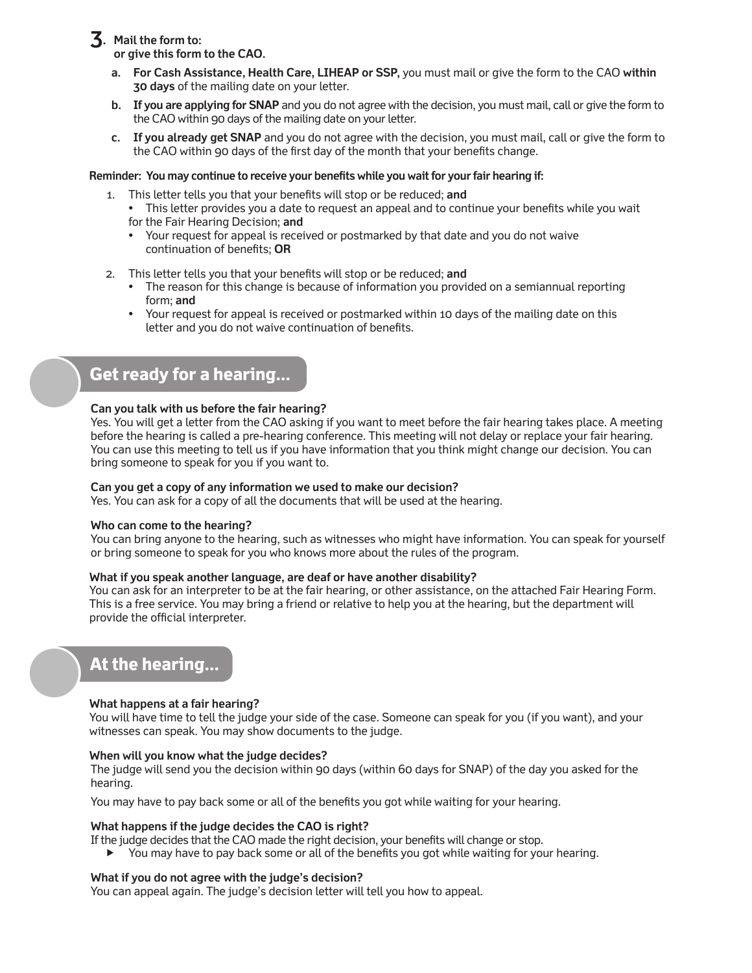**3. Mail the form to:**

 **or give this form to the CAO.**

- **a. For Cash Assistance, Health Care, LIHEAP or SSP,** you must mail or give the form to the CAO **within 30 days** of the mailing date on your letter.
- **b. If you are applying for SNAP** and you do not agree with the decision, you must mail, call or give the form to the CAO within 90 days of the mailing date on your letter.
- **c. If you already get SNAP** and you do not agree with the decision, you must mail, call or give the form to the CAO within 90 days of the first day of the month that your benefits change.

#### **Reminder: You may continue to receive your benefits while you wait for your fair hearing if:**

- 1. This letter tells you that your benefits will stop or be reduced; **and**
	- **•** This letter provides you a date to request an appeal and to continue your benefits while you wait for the Fair Hearing Decision; **and**
	- **•** Your request for appeal is received or postmarked by that date and you do not waive continuation of benefits; **OR**
- 2. This letter tells you that your benefits will stop or be reduced; **and**
	- **•** The reason for this change is because of information you provided on a semiannual reporting form; **and**
	- **•** Your request for appeal is received or postmarked within 10 days of the mailing date on this letter and you do not waive continuation of benefits.

### **Get ready for a hearing...**

#### **Can you talk with us before the fair hearing?**

Yes. You will get a letter from the CAO asking if you want to meet before the fair hearing takes place. A meeting before the hearing is called a pre-hearing conference. This meeting will not delay or replace your fair hearing. You can use this meeting to tell us if you have information that you think might change our decision. You can bring someone to speak for you if you want to.

#### **Can you get a copy of any information we used to make our decision?**

Yes. You can ask for a copy of all the documents that will be used at the hearing.

#### **Who can come to the hearing?**

You can bring anyone to the hearing, such as witnesses who might have information. You can speak for yourself or bring someone to speak for you who knows more about the rules of the program.

#### **What if you speak another language, are deaf or have another disability?**

You can ask for an interpreter to be at the fair hearing, or other assistance, on the attached Fair Hearing Form. This is a free service. You may bring a friend or relative to help you at the hearing, but the department will provide the official interpreter.

### **At the hearing...**

#### **What happens at a fair hearing?**

You will have time to tell the judge your side of the case. Someone can speak for you (if you want), and your witnesses can speak. You may show documents to the judge.

#### **When will you know what the judge decides?**

The judge will send you the decision within 90 days (within 60 days for SNAP) of the day you asked for the hearing.

You may have to pay back some or all of the benefits you got while waiting for your hearing.

#### **What happens if the judge decides the CAO is right?**

If the judge decides that the CAO made the right decision, your benefits will change or stop.

 You may have to pay back some or all of the benefits you got while waiting for your hearing.

#### **What if you do not agree with the judge's decision?**

You can appeal again. The judge's decision letter will tell you how to appeal.